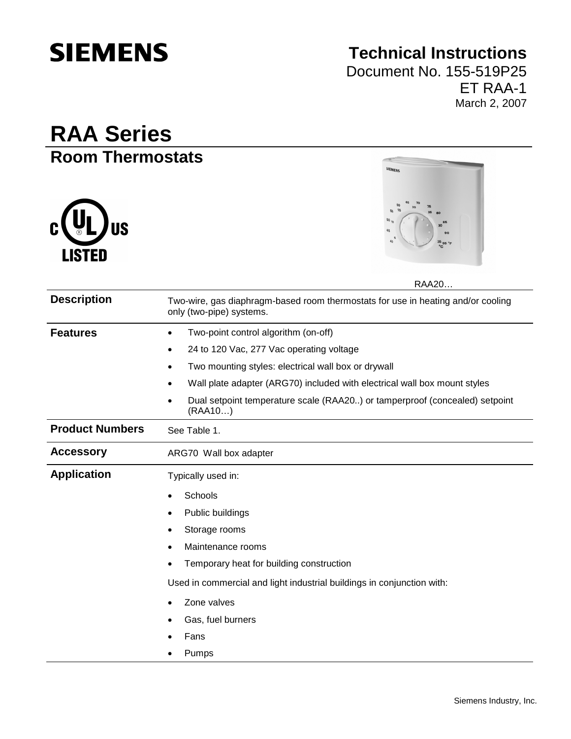# **SIEMENS**

## **Technical Instructions**

Document No. 155-519P25 ET RAA-1 March 2, 2007

## **RAA Series Room Thermostats**





RAA20…

| <b>Description</b>     | Two-wire, gas diaphragm-based room thermostats for use in heating and/or cooling<br>only (two-pipe) systems. |  |  |
|------------------------|--------------------------------------------------------------------------------------------------------------|--|--|
| <b>Features</b>        | Two-point control algorithm (on-off)<br>$\bullet$                                                            |  |  |
|                        | 24 to 120 Vac, 277 Vac operating voltage<br>٠                                                                |  |  |
|                        | Two mounting styles: electrical wall box or drywall<br>$\bullet$                                             |  |  |
|                        | Wall plate adapter (ARG70) included with electrical wall box mount styles                                    |  |  |
|                        | Dual setpoint temperature scale (RAA20) or tamperproof (concealed) setpoint<br>(RAA10)                       |  |  |
| <b>Product Numbers</b> | See Table 1.                                                                                                 |  |  |
| <b>Accessory</b>       | ARG70 Wall box adapter                                                                                       |  |  |
| <b>Application</b>     | Typically used in:                                                                                           |  |  |
|                        | Schools                                                                                                      |  |  |
|                        | Public buildings                                                                                             |  |  |
|                        | Storage rooms                                                                                                |  |  |
|                        | Maintenance rooms                                                                                            |  |  |
|                        | Temporary heat for building construction                                                                     |  |  |
|                        | Used in commercial and light industrial buildings in conjunction with:                                       |  |  |
|                        | Zone valves                                                                                                  |  |  |
|                        | Gas, fuel burners                                                                                            |  |  |
|                        | Fans                                                                                                         |  |  |
|                        | Pumps                                                                                                        |  |  |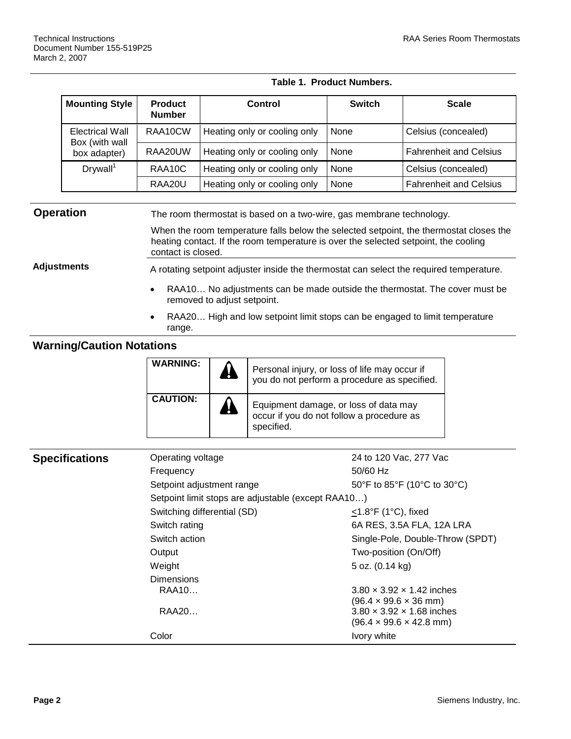#### **Table 1. Product Numbers.**

| <b>Mounting Style</b>             | <b>Product</b><br><b>Number</b> | Control                      | <b>Switch</b> | <b>Scale</b>                  |
|-----------------------------------|---------------------------------|------------------------------|---------------|-------------------------------|
| Electrical Wall<br>Box (with wall | RAA10CW                         | Heating only or cooling only | None          | Celsius (concealed)           |
| box adapter)                      | RAA20UW                         | Heating only or cooling only | None          | <b>Fahrenheit and Celsius</b> |
| Drywall <sup>1</sup>              | RAA <sub>10</sub> C             | Heating only or cooling only | None          | Celsius (concealed)           |
|                                   | RAA20U                          | Heating only or cooling only | None          | <b>Fahrenheit and Celsius</b> |

### **Operation** The room thermostat is based on a two-wire, gas membrane technology. When the room temperature falls below the selected setpoint, the thermostat closes the heating contact. If the room temperature is over the selected setpoint, the cooling contact is closed. Adjustments A rotating setpoint adjuster inside the thermostat can select the required temperature.

- RAA10… No adjustments can be made outside the thermostat. The cover must be removed to adjust setpoint.
- RAA20... High and low setpoint limit stops can be engaged to limit temperature range.

### **Warning/Caution Notations**

| <b>WARNING:</b> | 44 | Personal injury, or loss of life may occur if<br>you do not perform a procedure as specified.    |
|-----------------|----|--------------------------------------------------------------------------------------------------|
| <b>CAUTION:</b> | 44 | Equipment damage, or loss of data may<br>occur if you do not follow a procedure as<br>specified. |

| <b>Specifications</b> | Operating voltage                                  | 24 to 120 Vac, 277 Vac                                         |  |  |
|-----------------------|----------------------------------------------------|----------------------------------------------------------------|--|--|
|                       | Frequency                                          | 50/60 Hz                                                       |  |  |
|                       | Setpoint adjustment range                          | 50°F to 85°F (10°C to 30°C)                                    |  |  |
|                       | Setpoint limit stops are adjustable (except RAA10) |                                                                |  |  |
|                       | Switching differential (SD)                        | $<$ 1.8°F (1°C), fixed                                         |  |  |
|                       | Switch rating                                      | 6A RES, 3.5A FLA, 12A LRA                                      |  |  |
|                       | Switch action                                      | Single-Pole, Double-Throw (SPDT)                               |  |  |
|                       | Output                                             | Two-position (On/Off)                                          |  |  |
|                       | Weight                                             | 5 oz. (0.14 kg)                                                |  |  |
|                       | <b>Dimensions</b>                                  |                                                                |  |  |
|                       | RAA10                                              | $3.80 \times 3.92 \times 1.42$ inches                          |  |  |
|                       | RAA20                                              | (96.4 × 99.6 × 36 mm)<br>$3.80 \times 3.92 \times 1.68$ inches |  |  |
|                       |                                                    | $(96.4 \times 99.6 \times 42.8 \text{ mm})$                    |  |  |
|                       | Color                                              | Ivory white                                                    |  |  |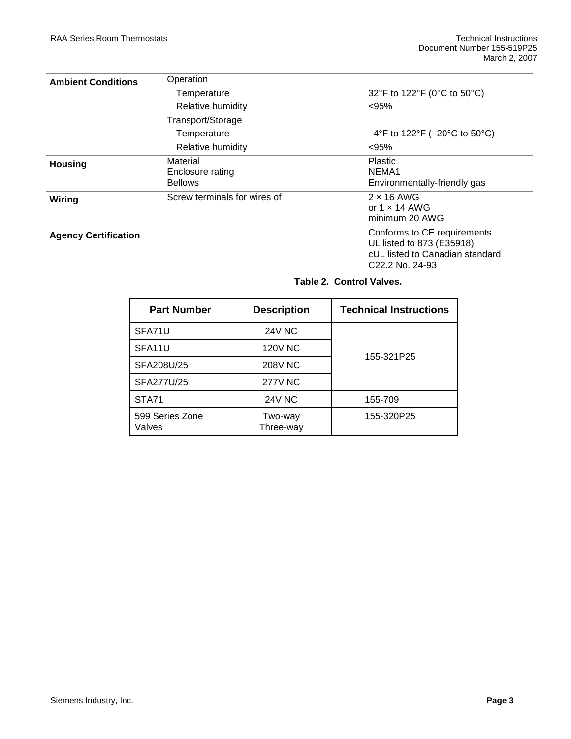| <b>Ambient Conditions</b>   | Operation                                      |                                                                                                                |
|-----------------------------|------------------------------------------------|----------------------------------------------------------------------------------------------------------------|
|                             | Temperature                                    | 32°F to 122°F (0°C to 50°C)                                                                                    |
|                             | Relative humidity                              | < 95%                                                                                                          |
|                             | Transport/Storage                              |                                                                                                                |
|                             | Temperature                                    | $-4^{\circ}$ F to 122°F (-20°C to 50°C)                                                                        |
|                             | Relative humidity                              | < 95%                                                                                                          |
| <b>Housing</b>              | Material<br>Enclosure rating<br><b>Bellows</b> | <b>Plastic</b><br>NEMA <sub>1</sub><br>Environmentally-friendly gas                                            |
| Wiring                      | Screw terminals for wires of                   | $2 \times 16$ AWG<br>or $1 \times 14$ AWG<br>minimum 20 AWG                                                    |
| <b>Agency Certification</b> |                                                | Conforms to CE requirements<br>UL listed to 873 (E35918)<br>cUL listed to Canadian standard<br>C22.2 No. 24-93 |

**Table 2. Control Valves.**

| <b>Part Number</b>        | <b>Description</b>   | <b>Technical Instructions</b> |  |
|---------------------------|----------------------|-------------------------------|--|
| SFA71U                    | <b>24V NC</b>        |                               |  |
| SFA11U                    | <b>120V NC</b>       | 155-321P25                    |  |
| SFA208U/25                | <b>208V NC</b>       |                               |  |
| SFA277U/25                | <b>277V NC</b>       |                               |  |
| STA71                     | <b>24V NC</b>        | 155-709                       |  |
| 599 Series Zone<br>Valves | Two-way<br>Three-way | 155-320P25                    |  |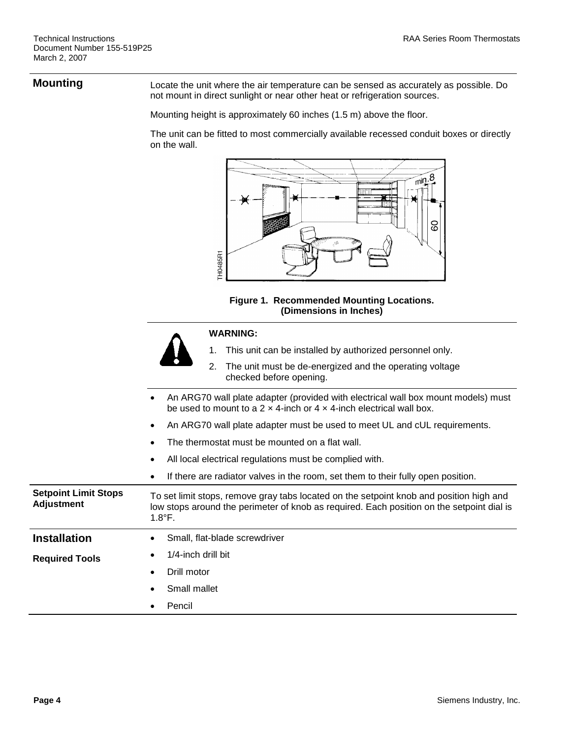**Mounting** Locate the unit where the air temperature can be sensed as accurately as possible. Do not mount in direct sunlight or near other heat or refrigeration sources.

Mounting height is approximately 60 inches (1.5 m) above the floor.

The unit can be fitted to most commercially available recessed conduit boxes or directly on the wall.





|  | <b>WARNING:</b> |  |
|--|-----------------|--|
|  |                 |  |

#### 1. This unit can be installed by authorized personnel only.

2. The unit must be de-energized and the operating voltage

| checked before opening.                                                                                                                                                                                  |
|----------------------------------------------------------------------------------------------------------------------------------------------------------------------------------------------------------|
| An ARG70 wall plate adapter (provided with electrical wall box mount models) must<br>$\bullet$<br>be used to mount to a 2 $\times$ 4-inch or 4 $\times$ 4-inch electrical wall box.                      |
| An ARG70 wall plate adapter must be used to meet UL and cUL requirements.<br>$\bullet$                                                                                                                   |
| The thermostat must be mounted on a flat wall.<br>$\bullet$                                                                                                                                              |
| All local electrical regulations must be complied with.<br>$\bullet$                                                                                                                                     |
| If there are radiator valves in the room, set them to their fully open position.<br>$\bullet$                                                                                                            |
| To set limit stops, remove gray tabs located on the setpoint knob and position high and<br>low stops around the perimeter of knob as required. Each position on the setpoint dial is<br>$1.8^{\circ}$ F. |
| Small, flat-blade screwdriver<br>$\bullet$                                                                                                                                                               |
| 1/4-inch drill bit<br>٠                                                                                                                                                                                  |
| Drill motor<br>٠                                                                                                                                                                                         |
| Small mallet<br>$\bullet$                                                                                                                                                                                |
| Pencil<br>٠                                                                                                                                                                                              |
|                                                                                                                                                                                                          |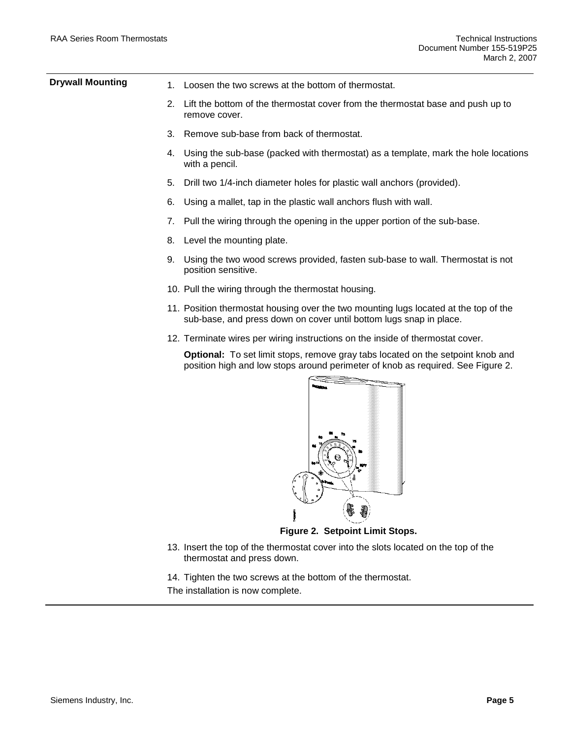| <b>Drywall Mounting</b> | 1. | Loosen the two screws at the bottom of thermostat.                                                                                                                        |
|-------------------------|----|---------------------------------------------------------------------------------------------------------------------------------------------------------------------------|
|                         | 2. | Lift the bottom of the thermostat cover from the thermostat base and push up to<br>remove cover.                                                                          |
|                         | 3. | Remove sub-base from back of thermostat.                                                                                                                                  |
|                         |    | 4. Using the sub-base (packed with thermostat) as a template, mark the hole locations<br>with a pencil.                                                                   |
|                         | 5. | Drill two 1/4-inch diameter holes for plastic wall anchors (provided).                                                                                                    |
|                         | 6. | Using a mallet, tap in the plastic wall anchors flush with wall.                                                                                                          |
|                         | 7. | Pull the wiring through the opening in the upper portion of the sub-base.                                                                                                 |
|                         | 8. | Level the mounting plate.                                                                                                                                                 |
|                         | 9. | Using the two wood screws provided, fasten sub-base to wall. Thermostat is not<br>position sensitive.                                                                     |
|                         |    | 10. Pull the wiring through the thermostat housing.                                                                                                                       |
|                         |    | 11. Position thermostat housing over the two mounting lugs located at the top of the<br>sub-base, and press down on cover until bottom lugs snap in place.                |
|                         |    | 12. Terminate wires per wiring instructions on the inside of thermostat cover.                                                                                            |
|                         |    | <b>Optional:</b> To set limit stops, remove gray tabs located on the setpoint knob and<br>position high and low stops around perimeter of knob as required. See Figure 2. |
|                         |    |                                                                                                                                                                           |



**Figure 2. Setpoint Limit Stops.**

- 13. Insert the top of the thermostat cover into the slots located on the top of the thermostat and press down.
- 14. Tighten the two screws at the bottom of the thermostat.
- The installation is now complete.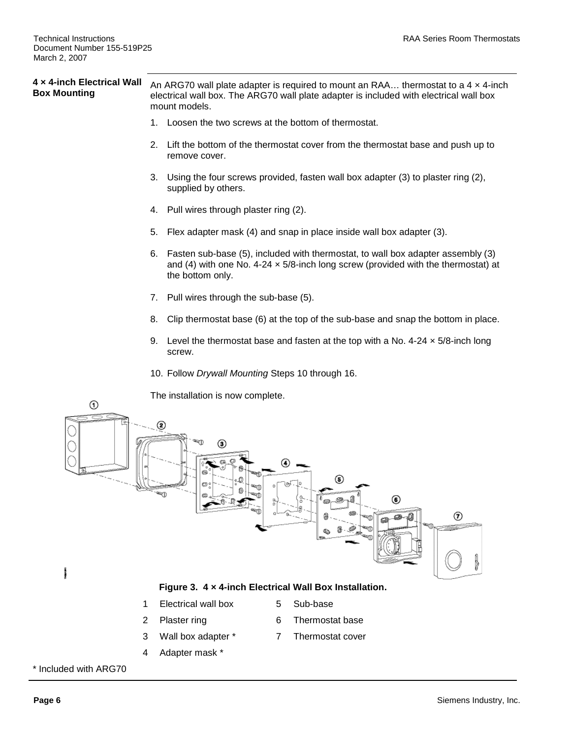#### **4 × 4-inch Electrical Wall Box Mounting** An ARG70 wall plate adapter is required to mount an RAA… thermostat to a 4 × 4-inch electrical wall box. The ARG70 wall plate adapter is included with electrical wall box mount models.

- 1. Loosen the two screws at the bottom of thermostat.
- 2. Lift the bottom of the thermostat cover from the thermostat base and push up to remove cover.
- 3. Using the four screws provided, fasten wall box adapter (3) to plaster ring (2), supplied by others.
- 4. Pull wires through plaster ring (2).
- 5. Flex adapter mask (4) and snap in place inside wall box adapter (3).
- 6. Fasten sub-base (5), included with thermostat, to wall box adapter assembly (3) and (4) with one No. 4-24  $\times$  5/8-inch long screw (provided with the thermostat) at the bottom only.
- 7. Pull wires through the sub-base (5).
- 8. Clip thermostat base (6) at the top of the sub-base and snap the bottom in place.
- 9. Level the thermostat base and fasten at the top with a No. 4-24  $\times$  5/8-inch long screw.
- 10. Follow *Drywall Mounting* Steps 10 through 16.

The installation is now complete.



- 3 Wall box adapter \*
- 4 Adapter mask \*

\* Included with ARG70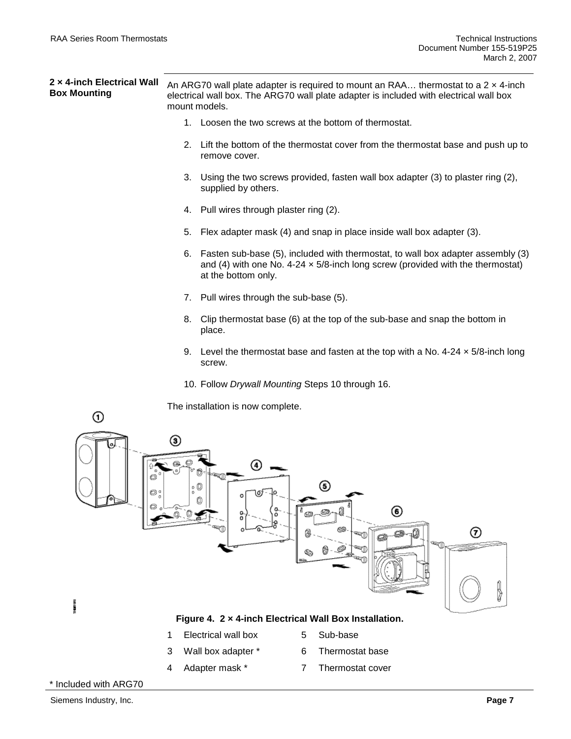| 2 x 4-inch Electrical Wall<br><b>Box Mounting</b> | An ARG70 wall plate adapter is required to mount an RAA thermostat to a $2 \times 4$ -inch<br>electrical wall box. The ARG70 wall plate adapter is included with electrical wall box<br>mount models. |
|---------------------------------------------------|-------------------------------------------------------------------------------------------------------------------------------------------------------------------------------------------------------|
|                                                   | Loosen the two screws at the bottom of thermostat.<br>1.                                                                                                                                              |
|                                                   | Lift the bottom of the thermostat cover from the thermostat base and push up to<br>2.<br>remove cover.                                                                                                |
|                                                   | 3. Using the two screws provided, fasten wall box adapter (3) to plaster ring (2),<br>supplied by others.                                                                                             |
|                                                   | 4. Pull wires through plaster ring (2).                                                                                                                                                               |
|                                                   | Flex adapter mask (4) and snap in place inside wall box adapter (3).<br>5.                                                                                                                            |
|                                                   | 6. Fasten sub-base (5), included with thermostat, to wall box adapter assembly (3)<br>and (4) with one No. 4-24 $\times$ 5/8-inch long screw (provided with the thermostat)<br>at the bottom only.    |
|                                                   | Pull wires through the sub-base (5).<br>7.                                                                                                                                                            |
|                                                   | 8. Clip thermostat base (6) at the top of the sub-base and snap the bottom in<br>place.                                                                                                               |
|                                                   | 9. Level the thermostat base and fasten at the top with a No. 4-24 $\times$ 5/8-inch long<br>screw.                                                                                                   |
|                                                   | 10. Follow Drywall Mounting Steps 10 through 16.                                                                                                                                                      |
| ⊙                                                 | The installation is now complete.                                                                                                                                                                     |
| o;                                                | ③<br>(4)<br>⊛<br>0<br>\of lo<br>O<br>◉<br>о.<br>۰<br>۰<br>å<br>⊛<br>7)<br><b>RAI</b><br><b>GERTI</b><br>Ï<br><b>BERTH</b><br>q                                                                        |

3100010

#### **Figure 4. 2 × 4-inch Electrical Wall Box Installation.**

- 1 Electrical wall box
- 5 Sub-base
- 3 Wall box adapter \*
- 6 Thermostat base
- 4 Adapter mask \*
- 7 Thermostat cover

\* Included with ARG70

l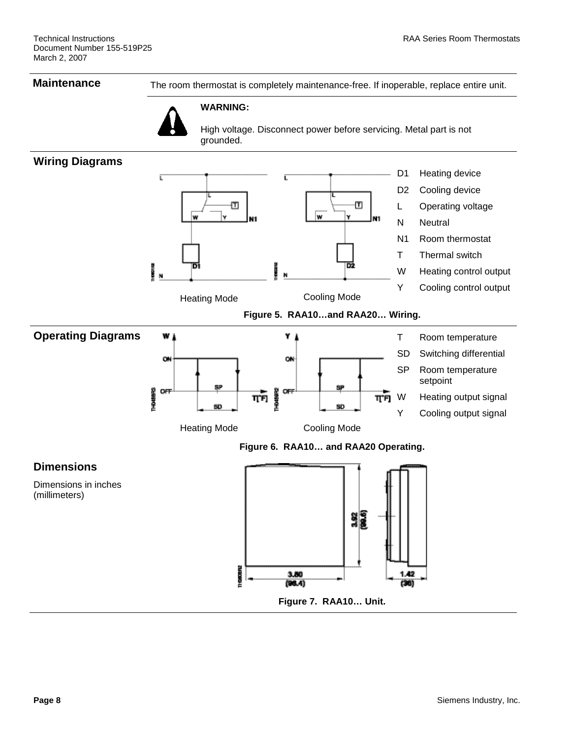**Maintenance** The room thermostat is completely maintenance-free. If inoperable, replace entire unit.



High voltage. Disconnect power before servicing. Metal part is not grounded.

#### **Wiring Diagrams**